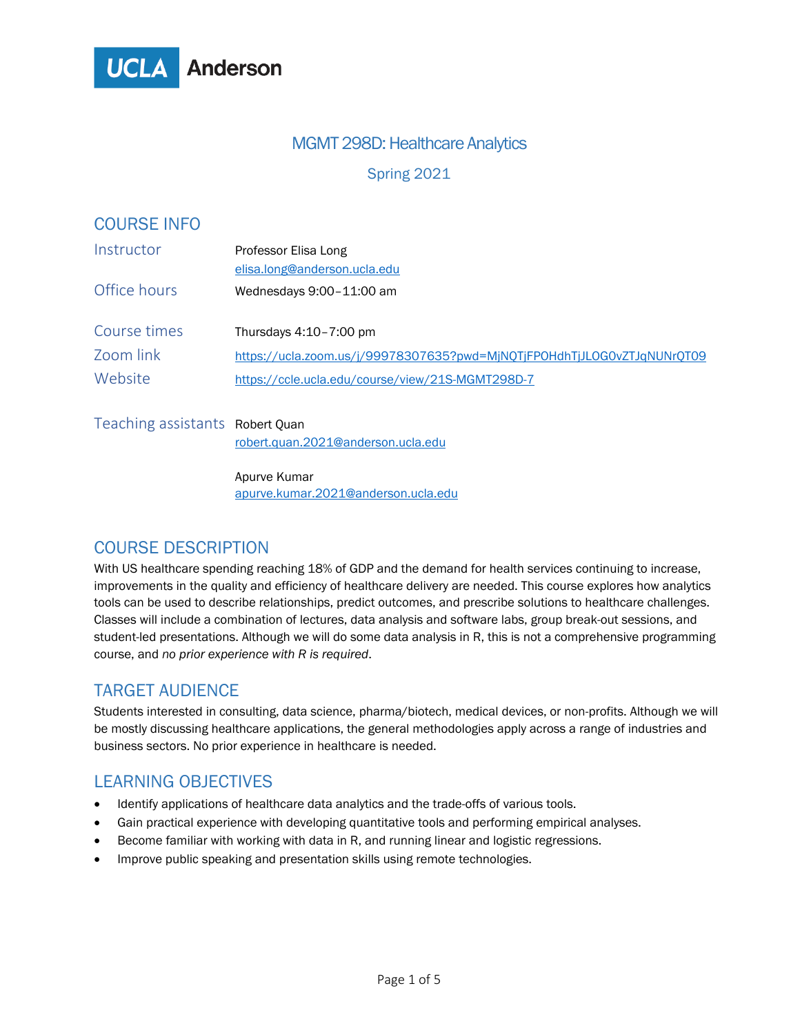

## MGMT 298D: Healthcare Analytics

Spring 2021

| <b>COURSE INFO</b>              |                                                                         |  |  |
|---------------------------------|-------------------------------------------------------------------------|--|--|
| Instructor                      | Professor Elisa Long<br>elisa.long@anderson.ucla.edu                    |  |  |
| Office hours                    | Wednesdays 9:00-11:00 am                                                |  |  |
| Course times                    | Thursdays 4:10-7:00 pm                                                  |  |  |
| Zoom link                       | https://ucla.zoom.us/j/99978307635?pwd=MjNQTjFPOHdhTjJLOG0vZTJqNUNrQT09 |  |  |
| Website                         | https://ccle.ucla.edu/course/view/21S-MGMT298D-7                        |  |  |
| Teaching assistants Robert Quan | robert.quan.2021@anderson.ucla.edu                                      |  |  |

Apurve Kumar [apurve.kumar.2021@anderson.ucla.edu](mailto:apurve.kumar.2021@anderson.ucla.edu)

## COURSE DESCRIPTION

With US healthcare spending reaching 18% of GDP and the demand for health services continuing to increase, improvements in the quality and efficiency of healthcare delivery are needed. This course explores how analytics tools can be used to describe relationships, predict outcomes, and prescribe solutions to healthcare challenges. Classes will include a combination of lectures, data analysis and software labs, group break-out sessions, and student-led presentations. Although we will do some data analysis in R, this is not a comprehensive programming course, and *no prior experience with R is required*.

#### TARGET AUDIENCE

Students interested in consulting, data science, pharma/biotech, medical devices, or non-profits. Although we will be mostly discussing healthcare applications, the general methodologies apply across a range of industries and business sectors. No prior experience in healthcare is needed.

## LEARNING OBJECTIVES

- Identify applications of healthcare data analytics and the trade-offs of various tools.
- Gain practical experience with developing quantitative tools and performing empirical analyses.
- Become familiar with working with data in R, and running linear and logistic regressions.
- Improve public speaking and presentation skills using remote technologies.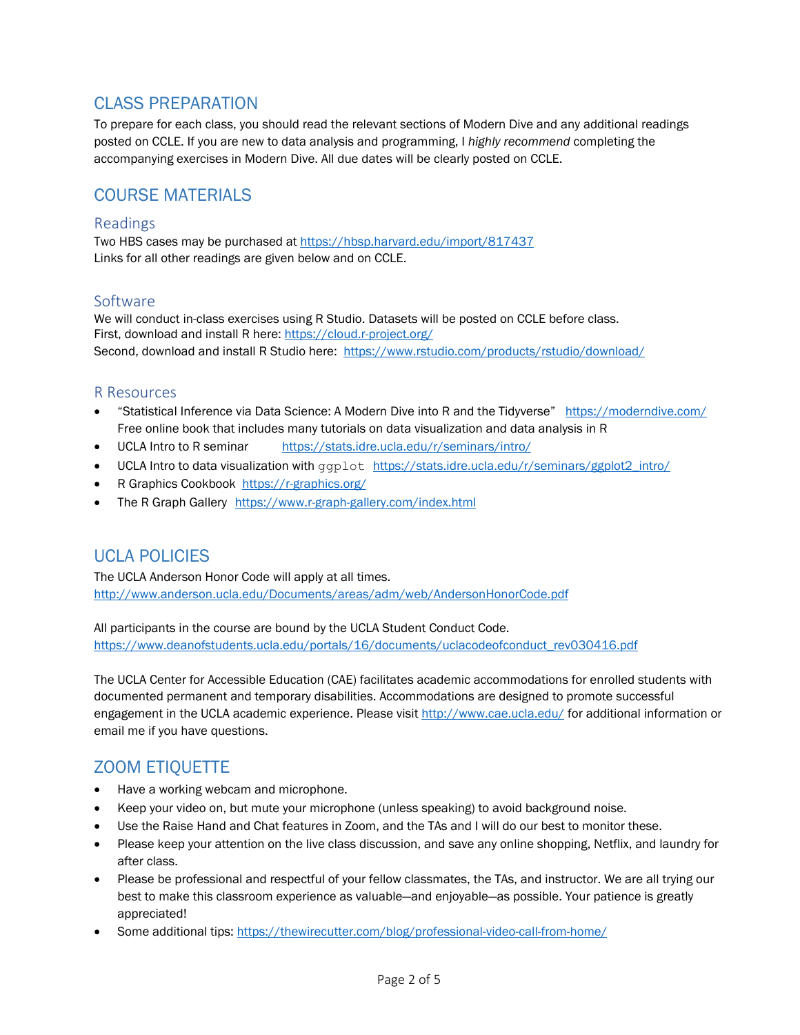# CLASS PREPARATION

To prepare for each class, you should read the relevant sections of Modern Dive and any additional readings posted on CCLE. If you are new to data analysis and programming, I *highly recommend* completing the accompanying exercises in Modern Dive. All due dates will be clearly posted on CCLE.

## COURSE MATERIALS

#### Readings

Two HBS cases may be purchased at<https://hbsp.harvard.edu/import/817437> Links for all other readings are given below and on CCLE.

#### Software

We will conduct in-class exercises using R Studio. Datasets will be posted on CCLE before class. First, download and install R here:<https://cloud.r-project.org/> Second, download and install R Studio here: <https://www.rstudio.com/products/rstudio/download/>

#### R Resources

- "Statistical Inference via Data Science: A Modern Dive into R and the Tidyverse" <https://moderndive.com/> Free online book that includes many tutorials on data visualization and data analysis in R
- UCLA Intro to R seminar <https://stats.idre.ucla.edu/r/seminars/intro/>
- UCLA Intro to data visualization with ggplot [https://stats.idre.ucla.edu/r/seminars/ggplot2\\_intro/](https://stats.idre.ucla.edu/r/seminars/ggplot2_intro/)
- R Graphics Cookbook<https://r-graphics.org/>
- The R Graph Gallery <https://www.r-graph-gallery.com/index.html>

## UCLA POLICIES

The UCLA Anderson Honor Code will apply at all times. <http://www.anderson.ucla.edu/Documents/areas/adm/web/AndersonHonorCode.pdf>

All participants in the course are bound by the UCLA Student Conduct Code. [https://www.deanofstudents.ucla.edu/portals/16/documents/uclacodeofconduct\\_rev030416.pdf](https://www.deanofstudents.ucla.edu/portals/16/documents/uclacodeofconduct_rev030416.pdf)

The UCLA Center for Accessible Education (CAE) facilitates academic accommodations for enrolled students with documented permanent and temporary disabilities. Accommodations are designed to promote successful engagement in the UCLA academic experience. Please visit<http://www.cae.ucla.edu/> for additional information or email me if you have questions.

## ZOOM ETIQUETTE

- Have a working webcam and microphone.
- Keep your video on, but mute your microphone (unless speaking) to avoid background noise.
- Use the Raise Hand and Chat features in Zoom, and the TAs and I will do our best to monitor these.
- Please keep your attention on the live class discussion, and save any online shopping, Netflix, and laundry for after class.
- Please be professional and respectful of your fellow classmates, the TAs, and instructor. We are all trying our best to make this classroom experience as valuable—and enjoyable—as possible. Your patience is greatly appreciated!
- Some additional tips:<https://thewirecutter.com/blog/professional-video-call-from-home/>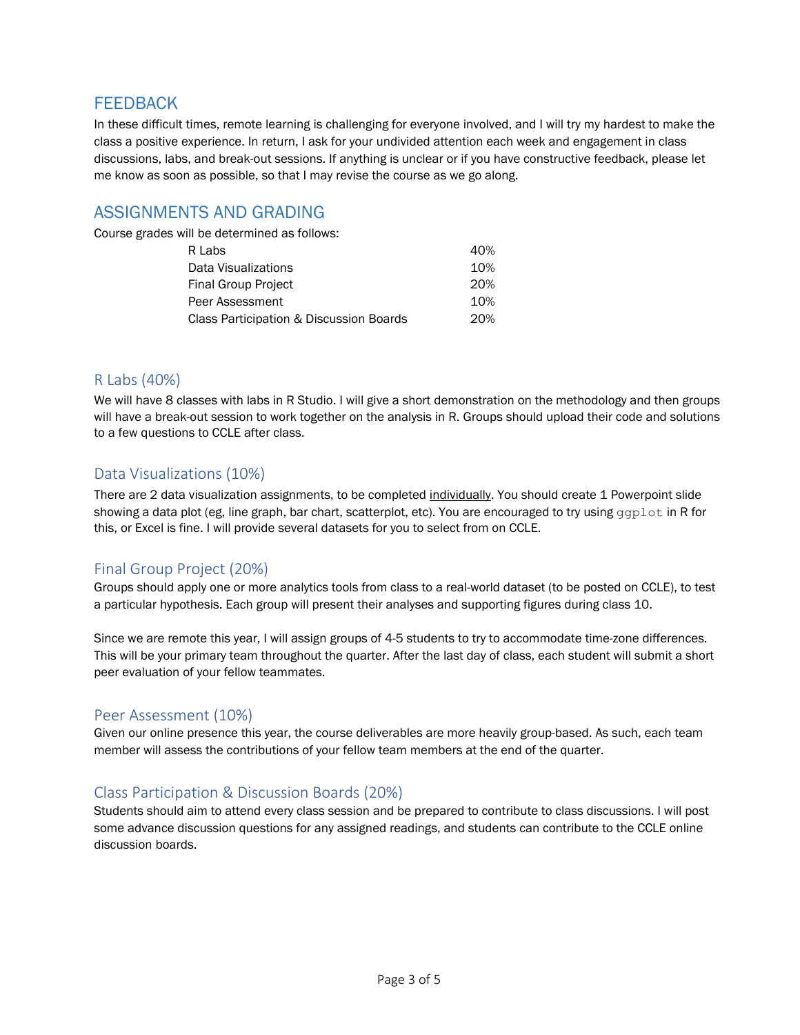## **FFFDBACK**

In these difficult times, remote learning is challenging for everyone involved, and I will try my hardest to make the class a positive experience. In return, I ask for your undivided attention each week and engagement in class discussions, labs, and break-out sessions. If anything is unclear or if you have constructive feedback, please let me know as soon as possible, so that I may revise the course as we go along.

## ASSIGNMENTS AND GRADING

Course grades will be determined as follows:

| R Labs                                  | 40% |  |
|-----------------------------------------|-----|--|
| Data Visualizations                     | 10% |  |
| <b>Final Group Project</b>              | 20% |  |
| Peer Assessment                         | 10% |  |
| Class Participation & Discussion Boards |     |  |

#### R Labs (40%)

We will have 8 classes with labs in R Studio. I will give a short demonstration on the methodology and then groups will have a break-out session to work together on the analysis in R. Groups should upload their code and solutions to a few questions to CCLE after class.

#### Data Visualizations (10%)

There are 2 data visualization assignments, to be completed individually. You should create 1 Powerpoint slide showing a data plot (eg, line graph, bar chart, scatterplot, etc). You are encouraged to try using ggplot in R for this, or Excel is fine. I will provide several datasets for you to select from on CCLE.

#### Final Group Project (20%)

Groups should apply one or more analytics tools from class to a real-world dataset (to be posted on CCLE), to test a particular hypothesis. Each group will present their analyses and supporting figures during class 10.

Since we are remote this year, I will assign groups of 4-5 students to try to accommodate time-zone differences. This will be your primary team throughout the quarter. After the last day of class, each student will submit a short peer evaluation of your fellow teammates.

#### Peer Assessment (10%)

Given our online presence this year, the course deliverables are more heavily group-based. As such, each team member will assess the contributions of your fellow team members at the end of the quarter.

#### Class Participation & Discussion Boards (20%)

Students should aim to attend every class session and be prepared to contribute to class discussions. I will post some advance discussion questions for any assigned readings, and students can contribute to the CCLE online discussion boards.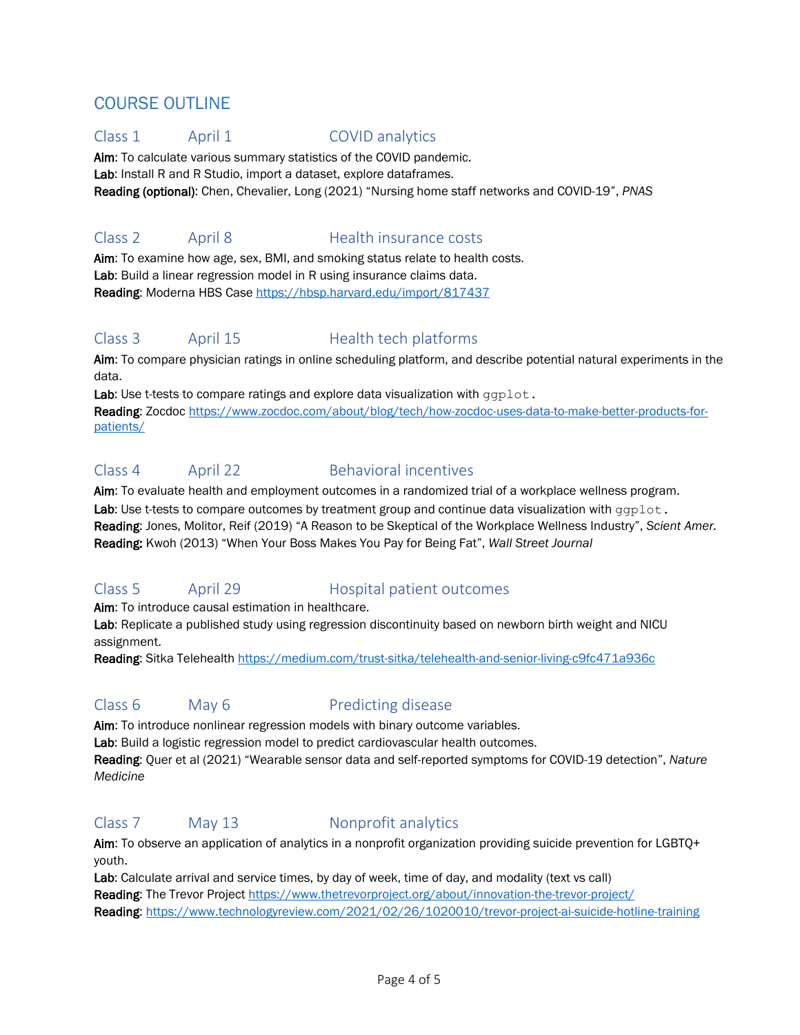# COURSE OUTLINE

#### Class 1 April 1 COVID analytics

Aim: To calculate various summary statistics of the COVID pandemic. Lab: Install R and R Studio, import a dataset, explore dataframes. Reading (optional): Chen, Chevalier, Long (2021) "Nursing home staff networks and COVID-19", *PNAS*

## Class 2 April 8 Health insurance costs

Aim: To examine how age, sex, BMI, and smoking status relate to health costs. Lab: Build a linear regression model in R using insurance claims data. Reading: Moderna HBS Case<https://hbsp.harvard.edu/import/817437>

## Class 3 April 15 Health tech platforms

Aim: To compare physician ratings in online scheduling platform, and describe potential natural experiments in the data.

Lab: Use t-tests to compare ratings and explore data visualization with ggplot. Reading: Zocdo[c https://www.zocdoc.com/about/blog/tech/how-zocdoc-uses-data-to-make-better-products-for](https://www.zocdoc.com/about/blog/tech/how-zocdoc-uses-data-to-make-better-products-for-patients/)[patients/](https://www.zocdoc.com/about/blog/tech/how-zocdoc-uses-data-to-make-better-products-for-patients/)

#### Class 4 April 22 Behavioral incentives

Aim: To evaluate health and employment outcomes in a randomized trial of a workplace wellness program.

Lab: Use t-tests to compare outcomes by treatment group and continue data visualization with  $qqplot$ . Reading: Jones, Molitor, Reif (2019) "A Reason to be Skeptical of the Workplace Wellness Industry", *Scient Amer.*  Reading: Kwoh (2013) "When Your Boss Makes You Pay for Being Fat", *Wall Street Journal*

## Class 5 April 29 Hospital patient outcomes

Aim: To introduce causal estimation in healthcare.

Lab: Replicate a published study using regression discontinuity based on newborn birth weight and NICU assignment.

Reading: Sitka Telehealth<https://medium.com/trust-sitka/telehealth-and-senior-living-c9fc471a936c>

## Class 6 May 6 **Predicting disease**

Aim: To introduce nonlinear regression models with binary outcome variables.

Lab: Build a logistic regression model to predict cardiovascular health outcomes.

Reading: Quer et al (2021) "Wearable sensor data and self-reported symptoms for COVID-19 detection", *Nature Medicine*

## Class 7 May 13 Nonprofit analytics

Aim: To observe an application of analytics in a nonprofit organization providing suicide prevention for LGBTQ+ youth.

Lab: Calculate arrival and service times, by day of week, time of day, and modality (text vs call) Reading: The Trevor Project<https://www.thetrevorproject.org/about/innovation-the-trevor-project/> Reading[: https://www.technologyreview.com/2021/02/26/1020010/trevor-project-ai-suicide-hotline-training](https://www.technologyreview.com/2021/02/26/1020010/trevor-project-ai-suicide-hotline-training)